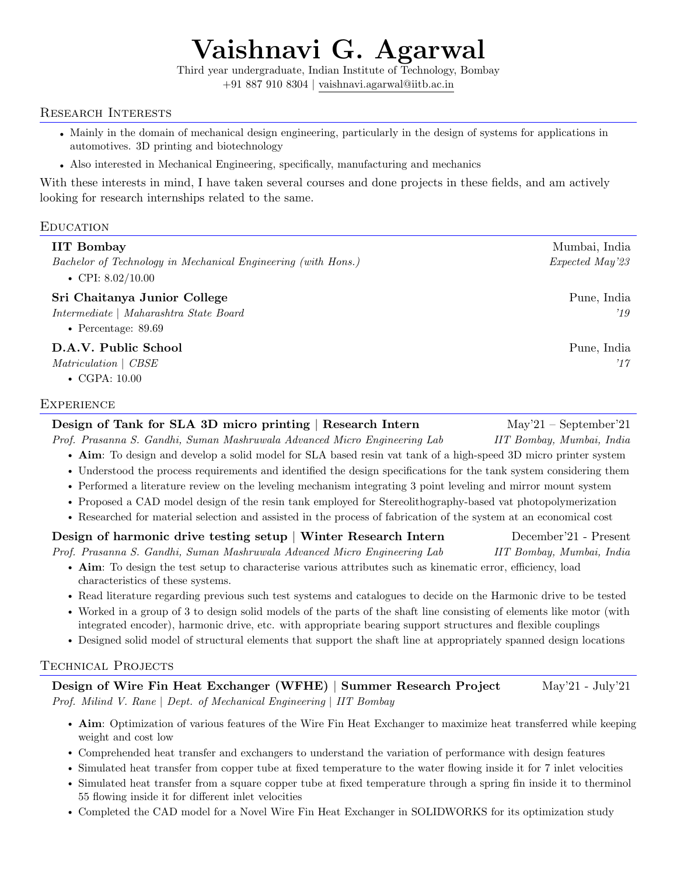# Vaishnavi G. Agarwal

Third year undergraduate, Indian Institute of Technology, Bombay

+91 887 910 8304 | [vaishnavi.agarwal@iitb.ac.in](mailto:vaishnavi.agarwal@iitb.ac.in)

#### Research Interests

- Mainly in the domain of mechanical design engineering, particularly in the design of systems for applications in automotives. 3D printing and biotechnology
- Also interested in Mechanical Engineering, specifically, manufacturing and mechanics

With these interests in mind, I have taken several courses and done projects in these fields, and am actively looking for research internships related to the same.

## **EDUCATION**

| <b>IIT Bombay</b><br>Bachelor of Technology in Mechanical Engineering (with Hons.)<br>• CPI: $8.02/10.00$ | Mumbai, India<br>Expected May'23 |
|-----------------------------------------------------------------------------------------------------------|----------------------------------|
| Sri Chaitanya Junior College<br>Intermediate   Maharashtra State Board<br>• Percentage: $89.69$           | Pune, India<br>$^{\prime}19$     |
| D.A.V. Public School<br>Matriculation   CBSE<br>$\bullet$ CGPA: 10.00                                     | Pune, India<br>17'               |

#### **EXPERIENCE**

| Design of Tank for SLA 3D micro printing   Research Intern                                                          | $May'21 - September'21$   |  |
|---------------------------------------------------------------------------------------------------------------------|---------------------------|--|
| Prof. Prasanna S. Gandhi, Suman Mashruwala Advanced Micro Engineering Lab                                           | IIT Bombay, Mumbai, India |  |
| • Aim: To design and develop a solid model for SLA based resin vat tank of a high-speed 3D micro printer system     |                           |  |
| • Understood the process requirements and identified the design specifications for the tank system considering them |                           |  |
| • Performed a literature review on the leveling mechanism integrating 3 point leveling and mirror mount system      |                           |  |
| • Proposed a CAD model design of the resin tank employed for Stereolithography-based vat photopolymerization        |                           |  |
| • Researched for material selection and assisted in the process of fabrication of the system at an economical cost  |                           |  |
| Design of harmonic drive testing setup   Winter Research Intern                                                     | December'21 - Present     |  |
| Prof. Prasanna S. Gandhi, Suman Mashruwala Advanced Micro Engineering Lab                                           | IIT Bombay, Mumbai, India |  |
|                                                                                                                     |                           |  |

- Aim: To design the test setup to characterise various attributes such as kinematic error, efficiency, load characteristics of these systems.
- Read literature regarding previous such test systems and catalogues to decide on the Harmonic drive to be tested
- Worked in a group of 3 to design solid models of the parts of the shaft line consisting of elements like motor (with integrated encoder), harmonic drive, etc. with appropriate bearing support structures and flexible couplings
- Designed solid model of structural elements that support the shaft line at appropriately spanned design locations

## Technical Projects

Design of Wire Fin Heat Exchanger (WFHE) | Summer Research Project May'21 - July'21 Prof. Milind V. Rane | Dept. of Mechanical Engineering | IIT Bombay

- Aim: Optimization of various features of the Wire Fin Heat Exchanger to maximize heat transferred while keeping weight and cost low
- Comprehended heat transfer and exchangers to understand the variation of performance with design features
- Simulated heat transfer from copper tube at fixed temperature to the water flowing inside it for 7 inlet velocities
- Simulated heat transfer from a square copper tube at fixed temperature through a spring fin inside it to therminol 55 flowing inside it for different inlet velocities
- Completed the CAD model for a Novel Wire Fin Heat Exchanger in SOLIDWORKS for its optimization study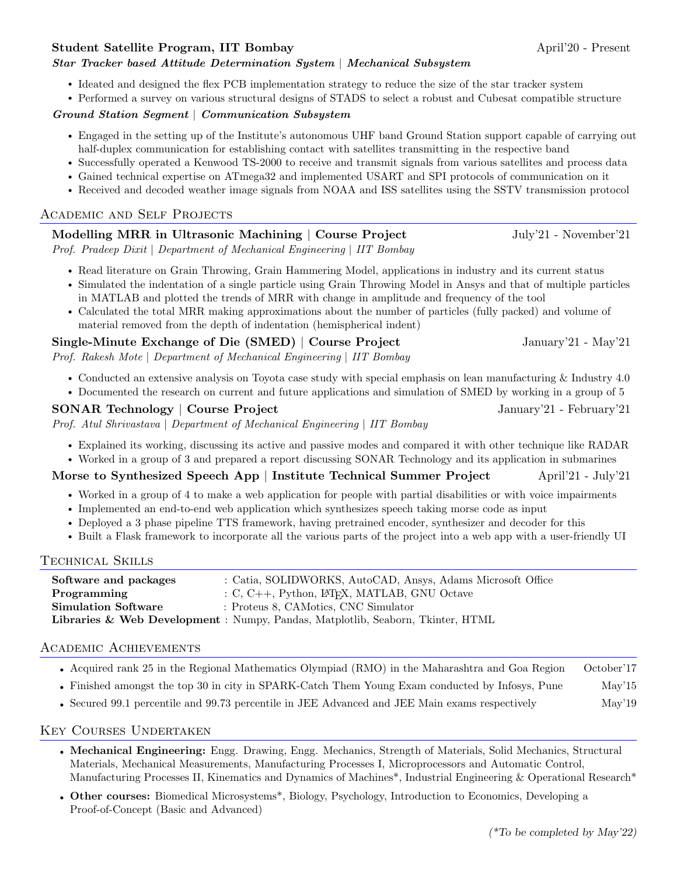#### Student Satellite Program, IIT Bombay April'20 - Present

#### Star Tracker based Attitude Determination System | Mechanical Subsystem

- Ideated and designed the flex PCB implementation strategy to reduce the size of the star tracker system
- Performed a survey on various structural designs of STADS to select a robust and Cubesat compatible structure

#### Ground Station Segment | Communication Subsystem

- Engaged in the setting up of the Institute's autonomous UHF band Ground Station support capable of carrying out half-duplex communication for establishing contact with satellites transmitting in the respective band
- Successfully operated a Kenwood TS-2000 to receive and transmit signals from various satellites and process data
- Gained technical expertise on ATmega32 and implemented USART and SPI protocols of communication on it
- Received and decoded weather image signals from NOAA and ISS satellites using the SSTV transmission protocol

#### Academic and Self Projects

#### Modelling MRR in Ultrasonic Machining | Course Project July'21 - November'21

Prof. Pradeep Dixit | Department of Mechanical Engineering | IIT Bombay

- Read literature on Grain Throwing, Grain Hammering Model, applications in industry and its current status
- Simulated the indentation of a single particle using Grain Throwing Model in Ansys and that of multiple particles in MATLAB and plotted the trends of MRR with change in amplitude and frequency of the tool
- Calculated the total MRR making approximations about the number of particles (fully packed) and volume of material removed from the depth of indentation (hemispherical indent)

#### Single-Minute Exchange of Die (SMED) | Course Project January'21 - May'21

Prof. Rakesh Mote | Department of Mechanical Engineering | IIT Bombay

- Conducted an extensive analysis on Toyota case study with special emphasis on lean manufacturing & Industry 4.0
- Documented the research on current and future applications and simulation of SMED by working in a group of 5

#### SONAR Technology | Course Project January'21 - February'21

Prof. Atul Shrivastava | Department of Mechanical Engineering | IIT Bombay

- Explained its working, discussing its active and passive modes and compared it with other technique like RADAR
- Worked in a group of 3 and prepared a report discussing SONAR Technology and its application in submarines

#### Morse to Synthesized Speech App | Institute Technical Summer Project April'21 - July'21

- Worked in a group of 4 to make a web application for people with partial disabilities or with voice impairments
- Implemented an end-to-end web application which synthesizes speech taking morse code as input
- Deployed a 3 phase pipeline TTS framework, having pretrained encoder, synthesizer and decoder for this
- Built a Flask framework to incorporate all the various parts of the project into a web app with a user-friendly UI

#### Technical Skills

| Software and packages      | : Catia, SOLIDWORKS, AutoCAD, Ansys, Adams Microsoft Office                    |
|----------------------------|--------------------------------------------------------------------------------|
| Programming                | $C, C++,$ Python, L <sup>A</sup> T <sub>F</sub> X, MATLAB, GNU Octave          |
| <b>Simulation Software</b> | : Proteus 8, CAMotics, CNC Simulator                                           |
|                            | Libraries & Web Development: Numpy, Pandas, Matplotlib, Seaborn, Tkinter, HTML |

#### Academic Achievements

- Acquired rank 25 in the Regional Mathematics Olympiad (RMO) in the Maharashtra and Goa Region October'17
- Finished amongst the top 30 in city in SPARK-Catch Them Young Exam conducted by Infosys, Pune May'15
- Secured 99.1 percentile and 99.73 percentile in JEE Advanced and JEE Main exams respectively May'19

#### Key Courses Undertaken

- Mechanical Engineering: Engg. Drawing, Engg. Mechanics, Strength of Materials, Solid Mechanics, Structural Materials, Mechanical Measurements, Manufacturing Processes I, Microprocessors and Automatic Control, Manufacturing Processes II, Kinematics and Dynamics of Machines\*, Industrial Engineering & Operational Research\*
- Other courses: Biomedical Microsystems\*, Biology, Psychology, Introduction to Economics, Developing a Proof-of-Concept (Basic and Advanced)